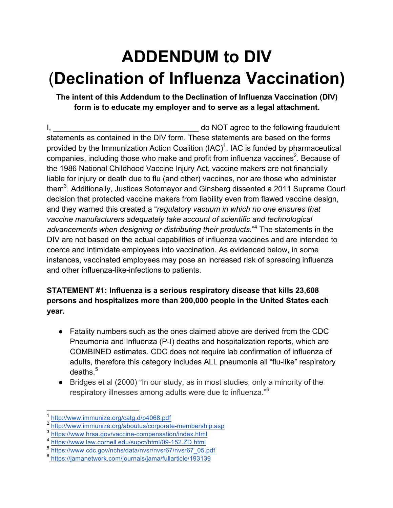# **ADDENDUM to DIV** (**Declination of Influenza Vaccination)**

**The intent of this Addendum to the Declination of Influenza Vaccination (DIV) form is to educate my employer and to serve as a legal attachment.**

I, the contract of the state of the following fraudulent is a state of the following fraudulent statements as contained in the DIV form. These statements are based on the forms provided by the Immunization Action Coalition (IAC)<sup>1</sup>. IAC is funded by pharmaceutical companies, including those who make and profit from influenza vaccines<sup>2</sup>. Because of the 1986 National Childhood Vaccine Injury Act, vaccine makers are not financially liable for injury or death due to flu (and other) vaccines, nor are those who administer them<sup>3</sup>. Additionally, Justices Sotomayor and Ginsberg dissented a 2011 Supreme Court decision that protected vaccine makers from liability even from flawed vaccine design, and they warned this created a "*regulatory vacuum in which no one ensures that vaccine manufacturers adequately take account of scientific and technological advancements when designing or distributing their products.*" <sup>4</sup> The statements in the DIV are not based on the actual capabilities of influenza vaccines and are intended to coerce and intimidate employees into vaccination. As evidenced below, in some instances, vaccinated employees may pose an increased risk of spreading influenza and other influenza-like-infections to patients.

#### **STATEMENT #1: Influenza is a serious respiratory disease that kills 23,608 persons and hospitalizes more than 200,000 people in the United States each year.**

- Fatality numbers such as the ones claimed above are derived from the CDC Pneumonia and Influenza (P-I) deaths and hospitalization reports, which are COMBINED estimates. CDC does not require lab confirmation of influenza of adults, therefore this category includes ALL pneumonia all "flu-like" respiratory deaths. $5$
- Bridges et al (2000) "In our study, as in most studies, only a minority of the respiratory illnesses among adults were due to influenza."<sup>6</sup>

http://www.immunize.org/catg.d/p4068.pdf

<sup>2</sup> http://www.immunize.org/aboutus/corporate-membership.asp

<sup>3</sup> https://www.hrsa.gov/vaccine-compensation/index.html

<sup>&</sup>lt;sup>4</sup> https://www.law.cornell.edu/supct/html/09-152.ZD.html<br><sup>5</sup> https://www.cdc.gov/pchs/data/nysr/nysr67/nysr67\_05.

https://www.cdc.gov/nchs/data/nvsr/nvsr67/nvsr67\_05.pdf

<sup>6</sup> https://jamanetwork.com/journals/jama/fullarticle/193139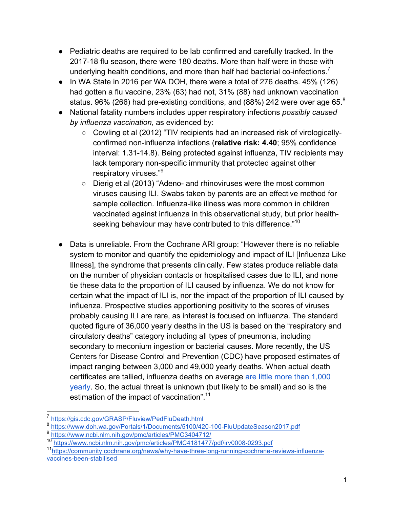● Pediatric deaths are required to be lab confirmed and carefully tracked. In the 2017-18 flu season, there were 180 deaths. More than half were in those with underlying health conditions, and more than half had bacterial co-infections.<sup>7</sup>

Addendum to Vaccine Declination Forms

- In WA State in 2016 per WA DOH, there were a total of 276 deaths. 45% (126) had gotten a flu vaccine, 23% (63) had not, 31% (88) had unknown vaccination status. 96% (266) had pre-existing conditions, and (88%) 242 were over age 65. $^8$
- National fatality numbers includes upper respiratory infections *possibly caused by influenza vaccination*, as evidenced by:
	- Cowling et al (2012) "TIV recipients had an increased risk of virologicallyconfirmed non-influenza infections (**relative risk: 4.40**; 95% confidence interval: 1.31-14.8). Being protected against influenza, TIV recipients may lack temporary non-specific immunity that protected against other respiratory viruses."9
	- Dierig et al (2013) "Adeno- and rhinoviruses were the most common viruses causing ILI. Swabs taken by parents are an effective method for sample collection. Influenza-like illness was more common in children vaccinated against influenza in this observational study, but prior healthseeking behaviour may have contributed to this difference."<sup>10</sup>
- Data is unreliable. From the Cochrane ARI group: "However there is no reliable system to monitor and quantify the epidemiology and impact of ILI [Influenza Like Illness], the syndrome that presents clinically. Few states produce reliable data on the number of physician contacts or hospitalised cases due to ILI, and none tie these data to the proportion of ILI caused by influenza. We do not know for certain what the impact of ILI is, nor the impact of the proportion of ILI caused by influenza. Prospective studies apportioning positivity to the scores of viruses probably causing ILI are rare, as interest is focused on influenza. The standard quoted figure of 36,000 yearly deaths in the US is based on the "respiratory and circulatory deaths" category including all types of pneumonia, including secondary to meconium ingestion or bacterial causes. More recently, the US Centers for Disease Control and Prevention (CDC) have proposed estimates of impact ranging between 3,000 and 49,000 yearly deaths. When actual death certificates are tallied, influenza deaths on average are little more than 1,000 yearly. So, the actual threat is unknown (but likely to be small) and so is the estimation of the impact of vaccination".<sup>11</sup>

https://gis.cdc.gov/GRASP/Fluview/PedFluDeath.html

https://www.doh.wa.gov/Portals/1/Documents/5100/420-100-FluUpdateSeason2017.pdf

<sup>9</sup> https://www.ncbi.nlm.nih.gov/pmc/articles/PMC3404712/

<sup>10</sup> https://www.ncbi.nlm.nih.gov/pmc/articles/PMC4181477/pdf/irv0008-0293.pdf

<sup>11</sup>https://community.cochrane.org/news/why-have-three-long-running-cochrane-reviews-influenzavaccines-been-stabilised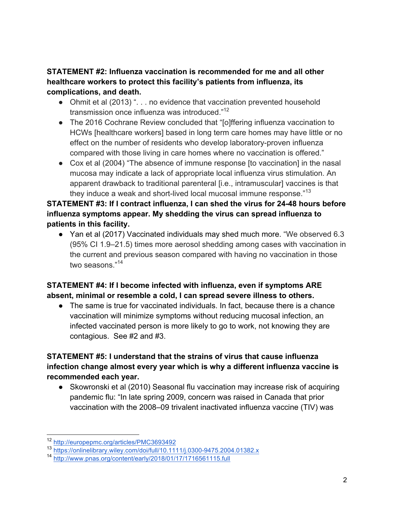#### **STATEMENT #2: Influenza vaccination is recommended for me and all other healthcare workers to protect this facility's patients from influenza, its complications, and death.**

Addendum to Vaccine Declination Forms

- Ohmit et al (2013) ". . . no evidence that vaccination prevented household transmission once influenza was introduced."<sup>12</sup>
- The 2016 Cochrane Review concluded that "[o]ffering influenza vaccination to HCWs [healthcare workers] based in long term care homes may have little or no effect on the number of residents who develop laboratory-proven influenza compared with those living in care homes where no vaccination is offered."
- Cox et al (2004) "The absence of immune response [to vaccination] in the nasal mucosa may indicate a lack of appropriate local influenza virus stimulation. An apparent drawback to traditional parenteral [i.e., intramuscular] vaccines is that they induce a weak and short-lived local mucosal immune response."<sup>13</sup>

#### **STATEMENT #3: If I contract influenza, I can shed the virus for 24-48 hours before influenza symptoms appear. My shedding the virus can spread influenza to patients in this facility.**

● Yan et al (2017) Vaccinated individuals may shed much more. "We observed 6.3 (95% CI 1.9–21.5) times more aerosol shedding among cases with vaccination in the current and previous season compared with having no vaccination in those two seasons "14

### **STATEMENT #4: If I become infected with influenza, even if symptoms ARE absent, minimal or resemble a cold, I can spread severe illness to others.**

● The same is true for vaccinated individuals. In fact, because there is a chance vaccination will minimize symptoms without reducing mucosal infection, an infected vaccinated person is more likely to go to work, not knowing they are contagious. See #2 and #3.

#### **STATEMENT #5: I understand that the strains of virus that cause influenza infection change almost every year which is why a different influenza vaccine is recommended each year.**

● Skowronski et al (2010) Seasonal flu vaccination may increase risk of acquiring pandemic flu: "In late spring 2009, concern was raised in Canada that prior vaccination with the 2008–09 trivalent inactivated influenza vaccine (TIV) was

 <sup>12</sup> http://europepmc.org/articles/PMC3693492

<sup>13</sup> https://onlinelibrary.wiley.com/doi/full/10.1111/j.0300-9475.2004.01382.x

<sup>14</sup> http://www.pnas.org/content/early/2018/01/17/1716561115.full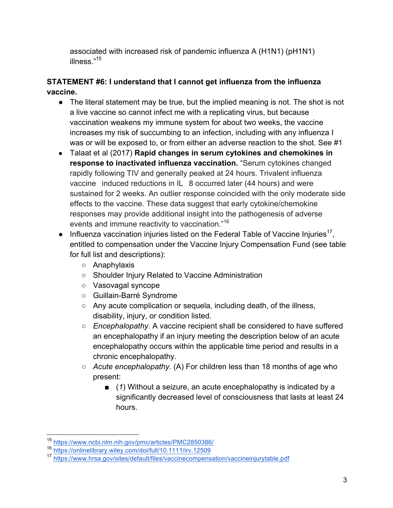associated with increased risk of pandemic influenza A (H1N1) (pH1N1) illness."15

Addendum to Vaccine Declination Forms

#### **STATEMENT #6: I understand that I cannot get influenza from the influenza vaccine.**

- The literal statement may be true, but the implied meaning is not. The shot is not a live vaccine so cannot infect me with a replicating virus, but because vaccination weakens my immune system for about two weeks, the vaccine increases my risk of succumbing to an infection, including with any influenza I was or will be exposed to, or from either an adverse reaction to the shot. See #1
- Talaat et al (2017) **Rapid changes in serum cytokines and chemokines in response to inactivated influenza vaccination.** "Serum cytokines changed rapidly following TIV and generally peaked at 24 hours. Trivalent influenza vaccine induced reductions in IL 8 occurred later (44 hours) and were sustained for 2 weeks. An outlier response coincided with the only moderate side effects to the vaccine. These data suggest that early cytokine/chemokine responses may provide additional insight into the pathogenesis of adverse events and immune reactivity to vaccination."<sup>16</sup>
- $\bullet$  Influenza vaccination injuries listed on the Federal Table of Vaccine Injuries<sup>17</sup>. entitled to compensation under the Vaccine Injury Compensation Fund (see table for full list and descriptions):
	- Anaphylaxis
	- Shoulder Injury Related to Vaccine Administration
	- Vasovagal syncope
	- Guillain-Barré Syndrome
	- Any acute complication or sequela, including death, of the illness, disability, injury, or condition listed.
	- *Encephalopathy.* A vaccine recipient shall be considered to have suffered an encephalopathy if an injury meeting the description below of an acute encephalopathy occurs within the applicable time period and results in a chronic encephalopathy.
	- *Acute encephalopathy.* (A) For children less than 18 months of age who present:
		- (1) Without a seizure, an acute encephalopathy is indicated by a significantly decreased level of consciousness that lasts at least 24 hours.

 <sup>15</sup> https://www.ncbi.nlm.nih.gov/pmc/articles/PMC2850386/

<sup>16</sup> https://onlinelibrary.wiley.com/doi/full/10.1111/irv.12509

<sup>17</sup> https://www.hrsa.gov/sites/default/files/vaccinecompensation/vaccineinjurytable.pdf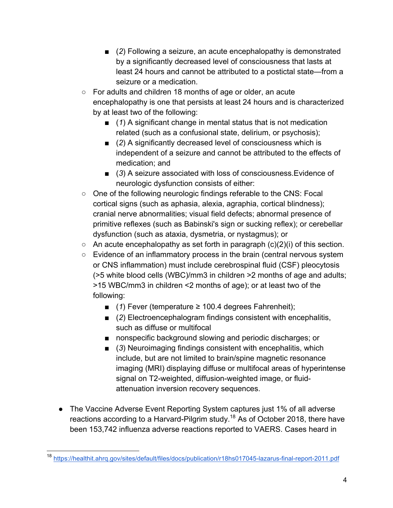- (2) Following a seizure, an acute encephalopathy is demonstrated by a significantly decreased level of consciousness that lasts at least 24 hours and cannot be attributed to a postictal state—from a seizure or a medication.
- For adults and children 18 months of age or older, an acute encephalopathy is one that persists at least 24 hours and is characterized by at least two of the following:

Addendum to Vaccine Declination Forms

- (1) A significant change in mental status that is not medication related (such as a confusional state, delirium, or psychosis);
- (2) A significantly decreased level of consciousness which is independent of a seizure and cannot be attributed to the effects of medication; and
- (3) A seizure associated with loss of consciousness.Evidence of neurologic dysfunction consists of either:
- One of the following neurologic findings referable to the CNS: Focal cortical signs (such as aphasia, alexia, agraphia, cortical blindness); cranial nerve abnormalities; visual field defects; abnormal presence of primitive reflexes (such as Babinski's sign or sucking reflex); or cerebellar dysfunction (such as ataxia, dysmetria, or nystagmus); or
- $\circ$  An acute encephalopathy as set forth in paragraph (c)(2)(i) of this section.
- Evidence of an inflammatory process in the brain (central nervous system or CNS inflammation) must include cerebrospinal fluid (CSF) pleocytosis (>5 white blood cells (WBC)/mm3 in children >2 months of age and adults; >15 WBC/mm3 in children <2 months of age); or at least two of the following:
	- (*1*) Fever (temperature ≥ 100.4 degrees Fahrenheit);
	- (2) Electroencephalogram findings consistent with encephalitis, such as diffuse or multifocal
	- nonspecific background slowing and periodic discharges; or
	- (3) Neuroimaging findings consistent with encephalitis, which include, but are not limited to brain/spine magnetic resonance imaging (MRI) displaying diffuse or multifocal areas of hyperintense signal on T2-weighted, diffusion-weighted image, or fluidattenuation inversion recovery sequences.
- The Vaccine Adverse Event Reporting System captures just 1% of all adverse reactions according to a Harvard-Pilgrim study.<sup>18</sup> As of October 2018, there have been 153,742 influenza adverse reactions reported to VAERS. Cases heard in

 <sup>18</sup> https://healthit.ahrq.gov/sites/default/files/docs/publication/r18hs017045-lazarus-final-report-2011.pdf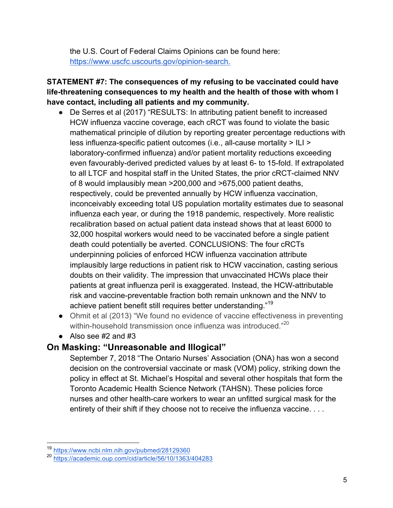the U.S. Court of Federal Claims Opinions can be found here: https://www.uscfc.uscourts.gov/opinion-search.

#### **STATEMENT #7: The consequences of my refusing to be vaccinated could have life-threatening consequences to my health and the health of those with whom I have contact, including all patients and my community.**

Addendum to Vaccine Declination Forms

- De Serres et al (2017) "RESULTS: In attributing patient benefit to increased HCW influenza vaccine coverage, each cRCT was found to violate the basic mathematical principle of dilution by reporting greater percentage reductions with less influenza-specific patient outcomes (i.e., all-cause mortality > ILI > laboratory-confirmed influenza) and/or patient mortality reductions exceeding even favourably-derived predicted values by at least 6- to 15-fold. If extrapolated to all LTCF and hospital staff in the United States, the prior cRCT-claimed NNV of 8 would implausibly mean >200,000 and >675,000 patient deaths, respectively, could be prevented annually by HCW influenza vaccination, inconceivably exceeding total US population mortality estimates due to seasonal influenza each year, or during the 1918 pandemic, respectively. More realistic recalibration based on actual patient data instead shows that at least 6000 to 32,000 hospital workers would need to be vaccinated before a single patient death could potentially be averted. CONCLUSIONS: The four cRCTs underpinning policies of enforced HCW influenza vaccination attribute implausibly large reductions in patient risk to HCW vaccination, casting serious doubts on their validity. The impression that unvaccinated HCWs place their patients at great influenza peril is exaggerated. Instead, the HCW-attributable risk and vaccine-preventable fraction both remain unknown and the NNV to achieve patient benefit still requires better understanding."<sup>19</sup>
- Ohmit et al (2013) "We found no evidence of vaccine effectiveness in preventing within-household transmission once influenza was introduced."<sup>20</sup>
- $\bullet$  Also see #2 and #3

#### **On Masking: "Unreasonable and Illogical"**

September 7, 2018 "The Ontario Nurses' Association (ONA) has won a second decision on the controversial vaccinate or mask (VOM) policy, striking down the policy in effect at St. Michael's Hospital and several other hospitals that form the Toronto Academic Health Science Network (TAHSN). These policies force nurses and other health-care workers to wear an unfitted surgical mask for the entirety of their shift if they choose not to receive the influenza vaccine. . . .

 <sup>19</sup> https://www.ncbi.nlm.nih.gov/pubmed/28129360

<sup>20</sup> https://academic.oup.com/cid/article/56/10/1363/404283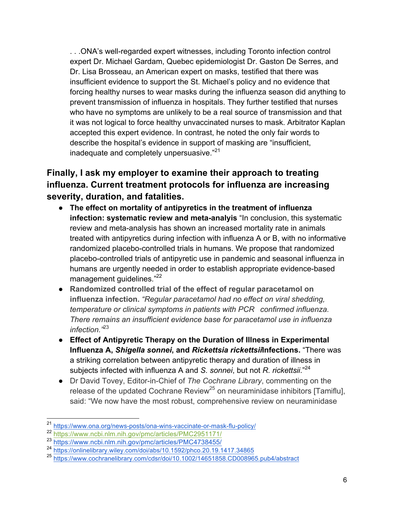. . .ONA's well-regarded expert witnesses, including Toronto infection control expert Dr. Michael Gardam, Quebec epidemiologist Dr. Gaston De Serres, and Dr. Lisa Brosseau, an American expert on masks, testified that there was insufficient evidence to support the St. Michael's policy and no evidence that forcing healthy nurses to wear masks during the influenza season did anything to prevent transmission of influenza in hospitals. They further testified that nurses who have no symptoms are unlikely to be a real source of transmission and that it was not logical to force healthy unvaccinated nurses to mask. Arbitrator Kaplan accepted this expert evidence. In contrast, he noted the only fair words to describe the hospital's evidence in support of masking are "insufficient, inadequate and completely unpersuasive."<sup>21</sup>

Addendum to Vaccine Declination Forms

## **Finally, I ask my employer to examine their approach to treating influenza. Current treatment protocols for influenza are increasing severity, duration, and fatalities.**

- **The effect on mortality of antipyretics in the treatment of influenza infection: systematic review and meta-analyis** "In conclusion, this systematic review and meta-analysis has shown an increased mortality rate in animals treated with antipyretics during infection with influenza A or B, with no informative randomized placebo-controlled trials in humans. We propose that randomized placebo-controlled trials of antipyretic use in pandemic and seasonal influenza in humans are urgently needed in order to establish appropriate evidence-based management quidelines."<sup>22</sup>
- **Randomized controlled trial of the effect of regular paracetamol on influenza infection.** *"Regular paracetamol had no effect on viral shedding, temperature or clinical symptoms in patients with PCR confirmed influenza. There remains an insufficient evidence base for paracetamol use in influenza infection."*<sup>23</sup>
- **Effect of Antipyretic Therapy on the Duration of Illness in Experimental Influenza A,** *Shigella sonnei***, and** *Rickettsia rickettsii***Infections.** "There was a striking correlation between antipyretic therapy and duration of illness in subjects infected with influenza A and *S. sonnei*, but not *R. rickettsii*."<sup>24</sup>
- Dr David Tovey, Editor-in-Chief of *The Cochrane Library*, commenting on the release of the updated Cochrane Review<sup>25</sup> on neuraminidase inhibitors [Tamiflu], said: "We now have the most robust, comprehensive review on neuraminidase

 <sup>21</sup> https://www.ona.org/news-posts/ona-wins-vaccinate-or-mask-flu-policy/

<sup>22</sup> https://www.ncbi.nlm.nih.gov/pmc/articles/PMC2951171/

<sup>23</sup> https://www.ncbi.nlm.nih.gov/pmc/articles/PMC4738455/

<sup>24</sup> https://onlinelibrary.wiley.com/doi/abs/10.1592/phco.20.19.1417.34865

<sup>25</sup> https://www.cochranelibrary.com/cdsr/doi/10.1002/14651858.CD008965.pub4/abstract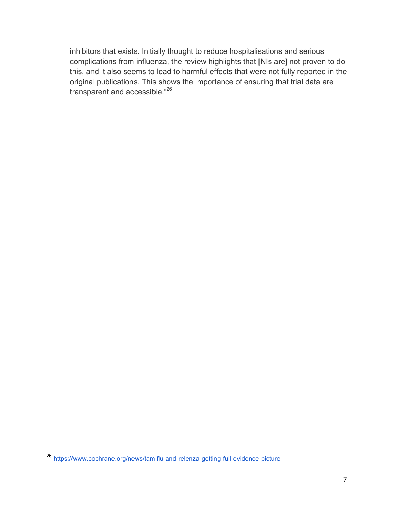inhibitors that exists. Initially thought to reduce hospitalisations and serious complications from influenza, the review highlights that [NIs are] not proven to do this, and it also seems to lead to harmful effects that were not fully reported in the original publications. This shows the importance of ensuring that trial data are transparent and accessible."26

Addendum to Vaccine Declination Forms

 <sup>26</sup> https://www.cochrane.org/news/tamiflu-and-relenza-getting-full-evidence-picture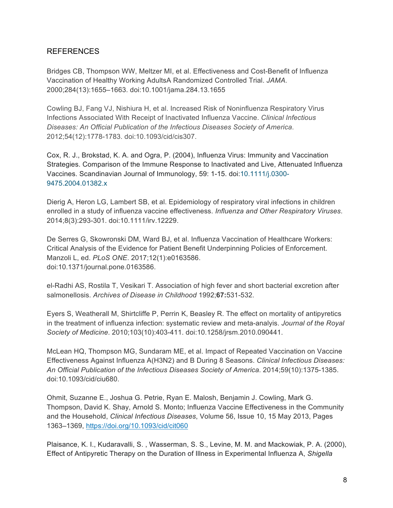#### REFERENCES

Bridges CB, Thompson WW, Meltzer MI, et al. Effectiveness and Cost-Benefit of Influenza Vaccination of Healthy Working AdultsA Randomized Controlled Trial. *JAMA.* 2000;284(13):1655–1663. doi:10.1001/jama.284.13.1655

Addendum to Vaccine Declination Forms

Cowling BJ, Fang VJ, Nishiura H, et al. Increased Risk of Noninfluenza Respiratory Virus Infections Associated With Receipt of Inactivated Influenza Vaccine. *Clinical Infectious Diseases: An Official Publication of the Infectious Diseases Society of America*. 2012;54(12):1778-1783. doi:10.1093/cid/cis307.

Cox, R. J., Brokstad, K. A. and Ogra, P. (2004), Influenza Virus: Immunity and Vaccination Strategies. Comparison of the Immune Response to Inactivated and Live, Attenuated Influenza Vaccines. Scandinavian Journal of Immunology, 59: 1-15. doi:10.1111/j.0300- 9475.2004.01382.x

Dierig A, Heron LG, Lambert SB, et al. Epidemiology of respiratory viral infections in children enrolled in a study of influenza vaccine effectiveness. *Influenza and Other Respiratory Viruses*. 2014;8(3):293-301. doi:10.1111/irv.12229.

De Serres G, Skowronski DM, Ward BJ, et al. Influenza Vaccination of Healthcare Workers: Critical Analysis of the Evidence for Patient Benefit Underpinning Policies of Enforcement. Manzoli L, ed. *PLoS ONE*. 2017;12(1):e0163586. doi:10.1371/journal.pone.0163586.

el-Radhi AS, Rostila T, Vesikari T. Association of high fever and short bacterial excretion after salmonellosis. *Archives of Disease in Childhood* 1992;**67:**531-532.

Eyers S, Weatherall M, Shirtcliffe P, Perrin K, Beasley R. The effect on mortality of antipyretics in the treatment of influenza infection: systematic review and meta-analyis. *Journal of the Royal Society of Medicine*. 2010;103(10):403-411. doi:10.1258/jrsm.2010.090441.

McLean HQ, Thompson MG, Sundaram ME, et al. Impact of Repeated Vaccination on Vaccine Effectiveness Against Influenza A(H3N2) and B During 8 Seasons. *Clinical Infectious Diseases: An Official Publication of the Infectious Diseases Society of America*. 2014;59(10):1375-1385. doi:10.1093/cid/ciu680.

Ohmit, Suzanne E., Joshua G. Petrie, Ryan E. Malosh, Benjamin J. Cowling, Mark G. Thompson, David K. Shay, Arnold S. Monto; Influenza Vaccine Effectiveness in the Community and the Household, *Clinical Infectious Diseases*, Volume 56, Issue 10, 15 May 2013, Pages 1363–1369, https://doi.org/10.1093/cid/cit060

Plaisance, K. I., Kudaravalli, S. , Wasserman, S. S., Levine, M. M. and Mackowiak, P. A. (2000), Effect of Antipyretic Therapy on the Duration of Illness in Experimental Influenza A, *Shigella*